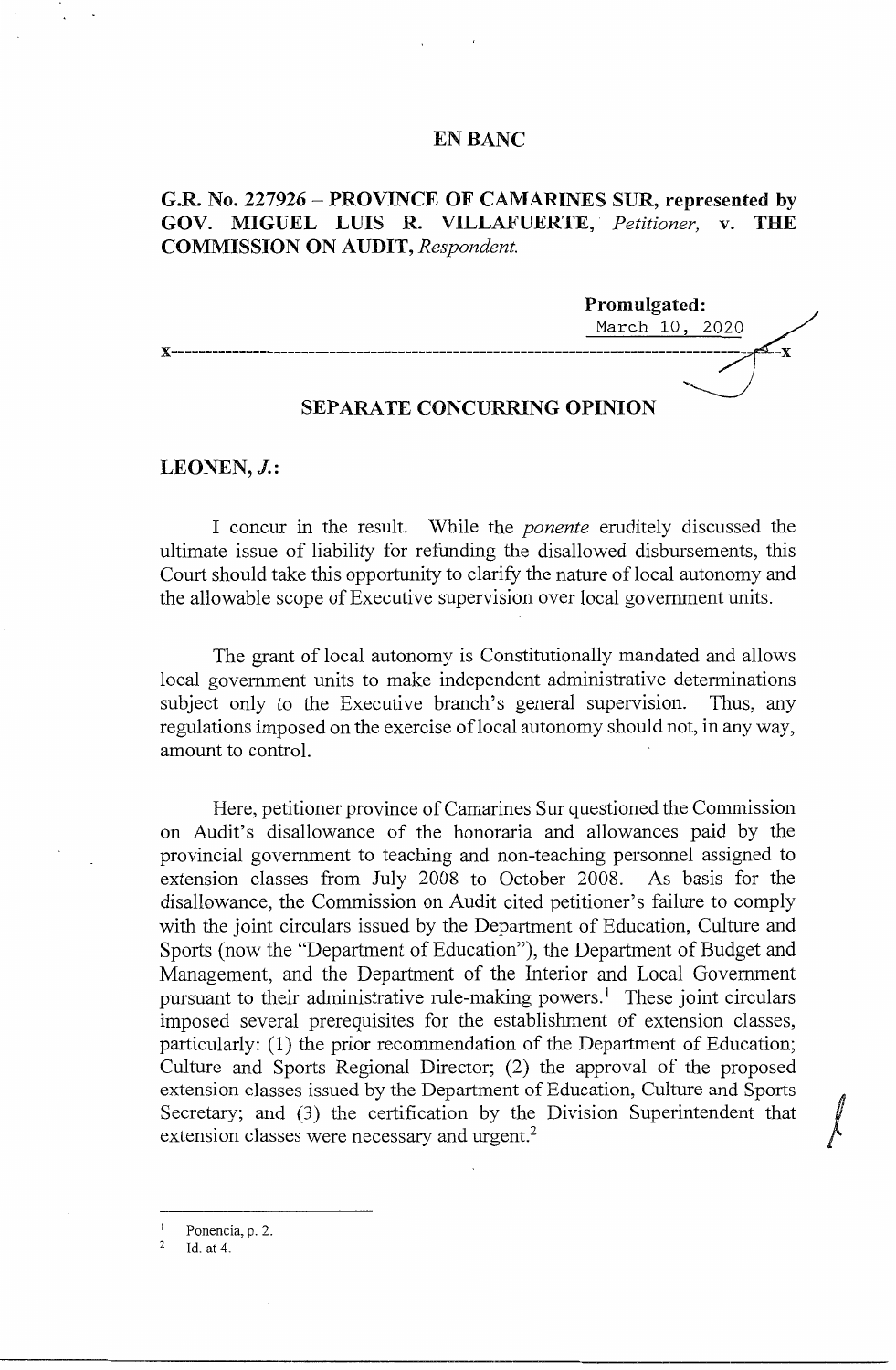### **EN BANC**

# **G.R. No. 227926-PROVINCE OF CAMARINES SUR, represented by GOV. MIGUEL LUIS R. VILLAFUERTE,.** *Petitioner,* **v. THE COMMISSION ON AUDIT,** *Respondent.*



## **SEPARATE CONCURRING OPINION**

### **LEONEN, J.:**

I concur in the result. While the *ponente* eruditely discussed the ultimate issue of liability for refunding the disallowed disbursements, this Court should take this opportunity to clarify the nature of local autonomy and the allowable scope of Executive supervision over local government units.

The grant of local autonomy is Constitutionally mandated and allows local government units to make independent administrative determinations subject only to the Executive branch's general supervision. Thus, any regulations imposed on the exercise of local autonomy should not, in any way, amount to control.

Here, petitioner province of Camarines Sur questioned the Commission on Audit's disallowance of the honoraria and allowances paid by the provincial government to teaching and non-teaching personnel assigned to extension classes from July 2008 to October 2008. As basis for the disallowance, the Commission on Audit cited petitioner's failure to comply with the joint circulars issued by the Department of Education, Culture and Sports (now the "Department of Education"), the Department of Budget and Management, and the Department of the Interior and Local Government pursuant to their administrative rule-making powers.<sup>1</sup> These joint circulars imposed several prerequisites for the establishment of extension classes, particularly: (1) the prior recommendation of the Department of Education; Culture and Sports Regional Director; (2) the approval of the proposed extension classes issued by the Department of Education, Culture and Sports Culture and Sports Regional Director; (2) the approval of the proposed<br>extension classes issued by the Department of Education, Culture and Sports<br>Secretary; and (3) the certification by the Division Superintendent that extension classes were necessary and urgent.<sup>2</sup>

2 Id. at 4.

Ponencia, p. 2.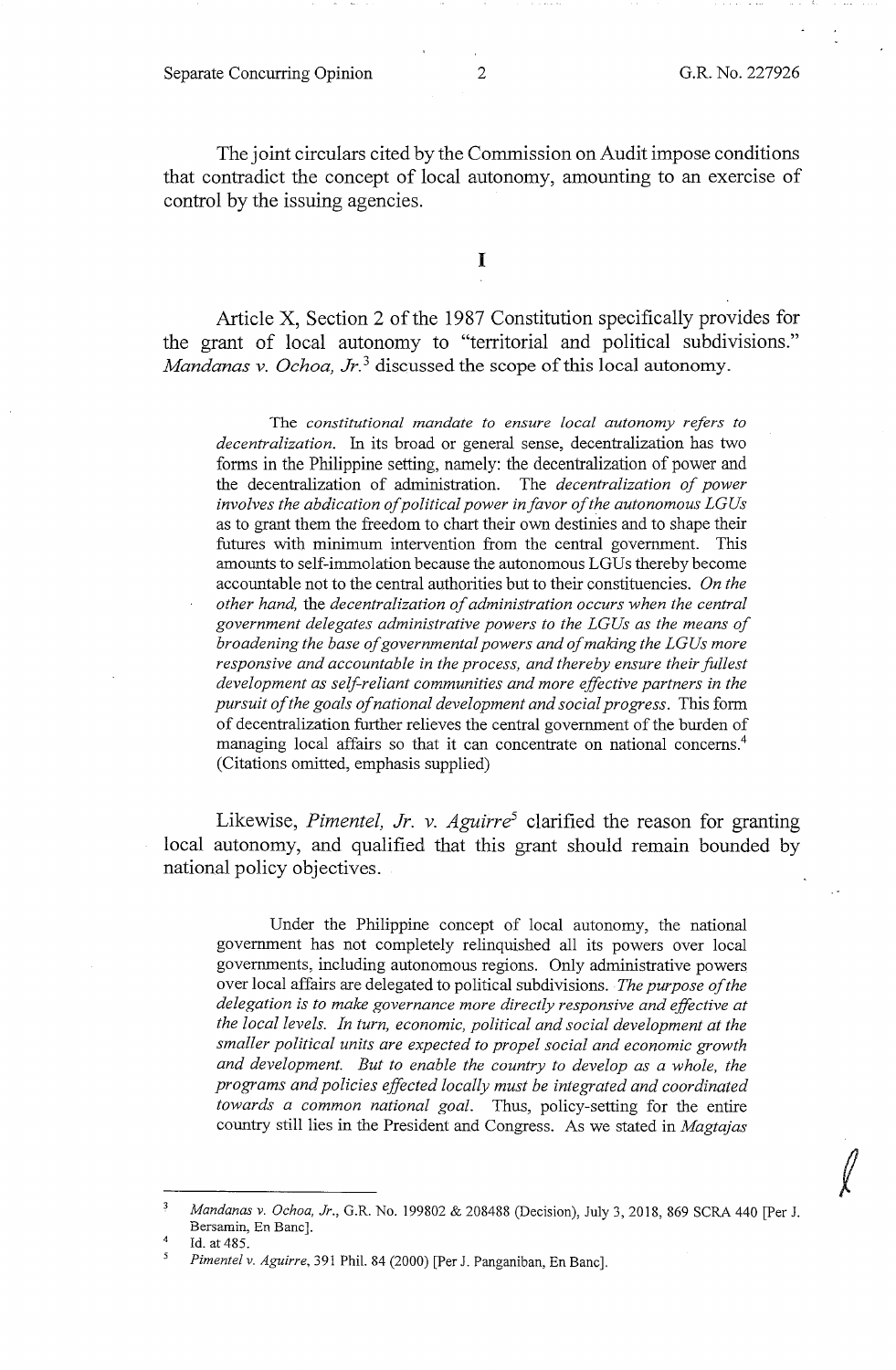#### Separate Concurring Opinion 2 G.R. No. 227926

 $\int$ 

The joint circulars cited by the Commission on Audit impose conditions that contradict the concept of local autonomy, amounting to an exercise of control by the issuing agencies.

I

Article X, Section 2 of the 1987 Constitution specifically provides for the grant of local autonomy to "territorial and political subdivisions." *Mandanas v. Ochoa, Jr.*<sup>3</sup> discussed the scope of this local autonomy.

The *constitutional mandate to ensure local autonomy refers to decentralization.* In its broad or general sense, decentralization has two forms in the Philippine setting, namely: the decentralization of power and the decentralization of administration. The *decentralization of power involves the abdication of political power in favor of the autonomous LG Us*  as to grant them the freedom to chart their own destinies and to shape their futures with minimum intervention from the central government. This amounts to self-immolation because the autonomous LG Us thereby become accountable not to the central authorities but to their constituencies. *On the other hand,* the *decentralization of administration occurs when the central government delegates administrative powers to the LGUs as the means of broadening the base of governmental powers and of making the LG Us more responsive and accountable in the process, and thereby ensure their fullest development as self-reliant communities and more effective partners in the pursuit of the goals of national development and social progress.* This form of decentralization further relieves the central government of the burden of managing local affairs so that it can concentrate on national concerns.<sup>4</sup> (Citations omitted, emphasis supplied)

Likewise, *Pimentel, Jr. v. Aguirre*<sup>5</sup> clarified the reason for granting local autonomy, and qualified that this grant should remain bounded by national policy objectives.

Under the Philippine concept of local autonomy, the national government has not completely relinquished all its powers over local governments, including autonomous regions. Only administrative powers over local affairs are delegated to political subdivisions. *The purpose of the delegation is to make governance more directly responsive and effective at the local levels. In turn, economic, political and social development at the smaller political units are expected to propel social and economic growth and development. But to enable the country to develop as a whole, the programs and policies effected locally must be integrated and coordinated towards a common national goal.* Thus, policy-setting for the entire country still lies in the President and Congress. As we stated in *Magtajas* 

*Mandanas v. Ochoa, Jr.,* G.R. No. 199802 & 208488 (Decision), July 3, 2018, 869 SCRA 440 [Per J. Bersamin, En Banc].

<sup>4</sup>  Id. at 485.

<sup>5</sup>  *Pimentel v. Aguirre,* 391 Phil. 84 (2000) [Per J. Panganiban, En Banc].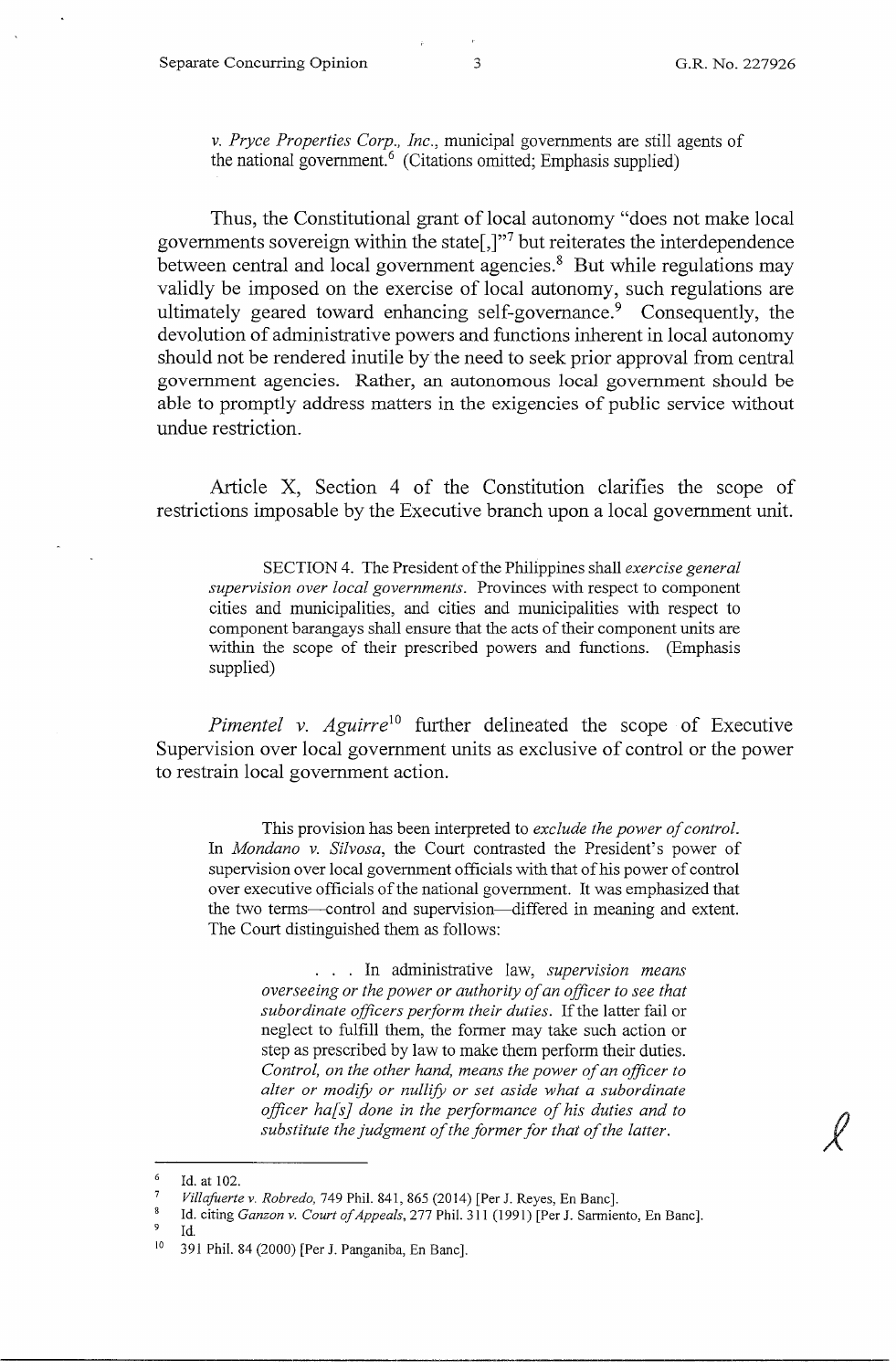*v. Pryce Properties Corp., Inc.,* municipal governments are still agents of the national government.<sup> $6$ </sup> (Citations omitted; Emphasis supplied)

Thus, the Constitutional grant of local autonomy "does not make local governments sovereign within the state[,]"<sup>7</sup> but reiterates the interdependence between central and local government agencies.<sup>8</sup> But while regulations may validly be imposed on the exercise of local autonomy, such regulations are ultimately geared toward enhancing self-governance.<sup>9</sup> Consequently, the devolution of administrative powers and functions inherent in local autonomy should not be rendered inutile by the need to seek prior approval from central government agencies. Rather, an autonomous local government should be able to promptly address matters in the exigencies of public service without undue restriction.

Article X, Section 4 of the Constitution clarifies the scope of restrictions imposable by the Executive branch upon a local government unit.

SECTION 4. The President of the Philippines shall *exercise general supervision over local governments.* Provinces with respect to component cities and municipalities, and cities and municipalities with respect to component barangays shall ensure that the acts of their component units are within the scope of their prescribed powers and functions. (Emphasis supplied)

*Pimentel v. Aguirre*<sup>10</sup> further delineated the scope of Executive Supervision over local government units as exclusive of control or the power to restrain local government action.

This provision has been interpreted to *exclude the power of control.*  In *Mondano v. Silvosa,* the Court contrasted the President's power of supervision over local government officials with that of his power of control over executive officials of the national government. It was emphasized that the two terms--control and supervision-differed in meaning and extent. The Court distinguished them as follows:

. . . In administrative law, *supervision means overseeing or the power or authority of an officer to see that subordinate officers perform their duties.* If the latter fail or neglect to fulfill them, the former may take such action or step as prescribed by law to make them perform their duties. *Control, on the other hand, means the power of an officer to alter or modify or nullify or set aside what a subordinate officer ha[s] done in the performance of his duties and to substitute the judgment of the former for that of the latter.* 

9 Id.

<sup>6</sup>  Id. at 102.

<sup>7</sup>  *Villafuerte v. Robredo,* 749 Phil. 841,865 (2014) [Per J. Reyes, En Banc].

<sup>8</sup>  Id. citing *Gamon v. Court of Appeals,* 277 Phil. 311 (1991) [Per J. Sarmiento, En Banc].

<sup>10 391</sup> Phil. 84 (2000) [Per J. Panganiba, En Banc].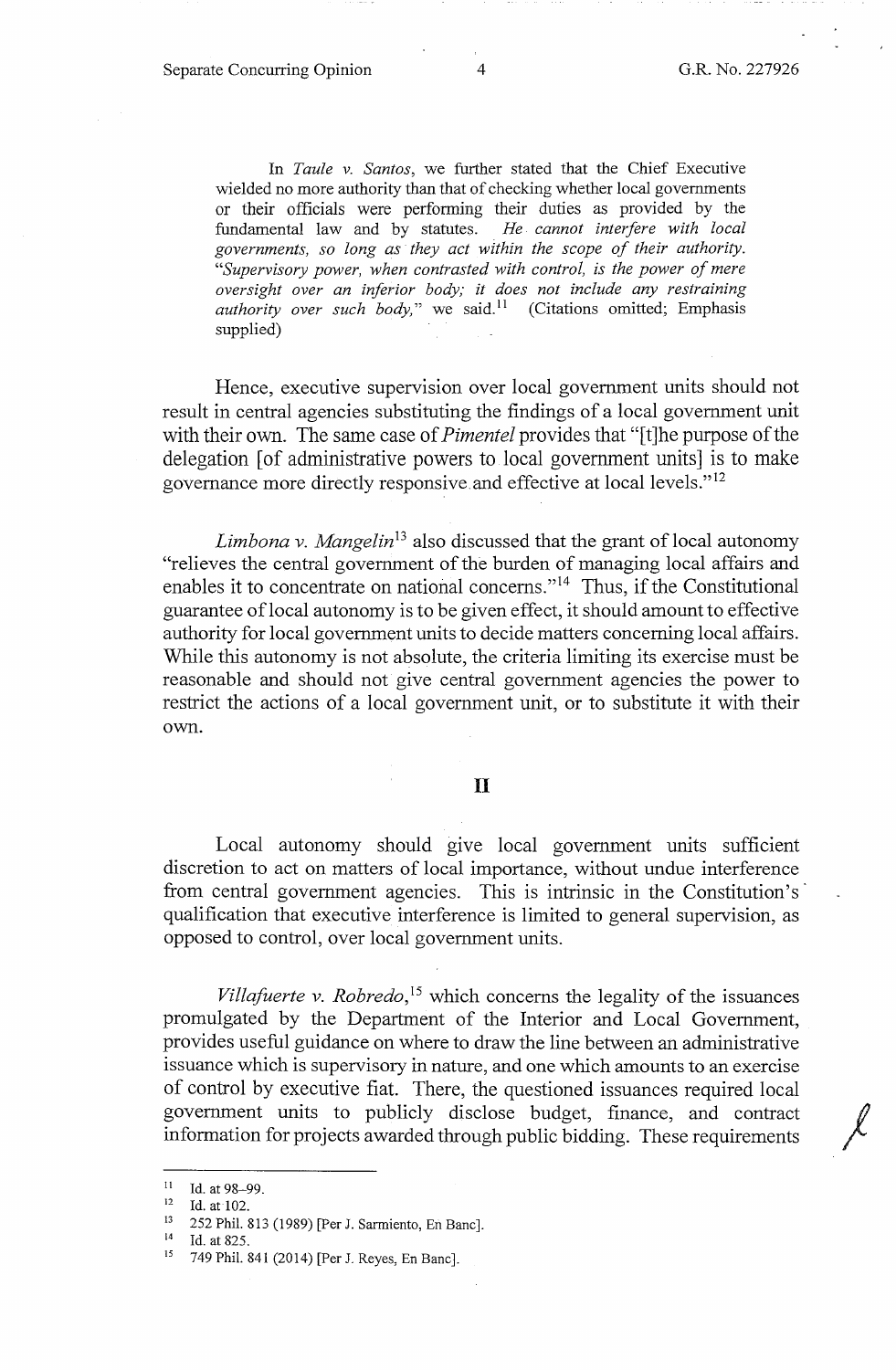In *Taule v. Santos,* we further stated that the Chief Executive wielded no more authority than that of checking whether local governments or their officials were performing their duties as provided by the fundamental law and by statutes. *He. cannot interfere with local governments, so long as they act within the scope of their authority. "Supervisory power, when contrasted with control, is the power of mere oversight over an inferior body; it does not include any restraining authority over such body*," we said.<sup>11</sup> (Citations omitted; Emphasis supplied)

Hence, executive supervision over local government units should not result in central agencies substituting the findings of a local government unit with their own. The same case of *Pimentel* provides that "[t]he purpose of the delegation [of administrative powers to local government units] is to make governance more directly responsive.and effective at local levels." <sup>12</sup>

*Limbona v. Mangelin*<sup>13</sup> also discussed that the grant of local autonomy "relieves the central government of the burden of managing local affairs and enables it to concentrate on national concerns."<sup>14</sup> Thus, if the Constitutional guarantee oflocal autonomy is to be given effect, it should amount to effective authority for local government units to decide matters concerning local affairs. While this autonomy is not absolute, the criteria limiting its exercise must be reasonable and should not give central government agencies the power to restrict the actions of a local government unit, or to substitute it with their own.

#### II

Local autonomy should give local government units sufficient discretion to act on matters of local importance, without undue interference from central government agencies. This is intrinsic in the Constitution's qualification that executive interference is limited to general supervision, as opposed to control, over local government units.

*Villafuerte v. Robredo,* 15 which concerns the legality of the issuances promulgated by the Department of the Interior and Local Government, provides useful guidance on where to draw the line between an administrative issuance which is supervisory in nature, and one which amounts to an exercise of control by executive fiat. There, the questioned issuances required local government units to publicly disclose budget, finance, and contract  $\sqrt{ }$ information for projects awarded through public bidding. These requirements

<sup>11</sup> Id. at 98–99.<br>
12 Id. at 102.<br>
13 252 Phil. 813 (1989) [Per J. Sarmiento, En Banc].<br>
14 Id. at 825.<br>
15 749 Phil. 841 (2014) [Per J. Reyes, En Banc].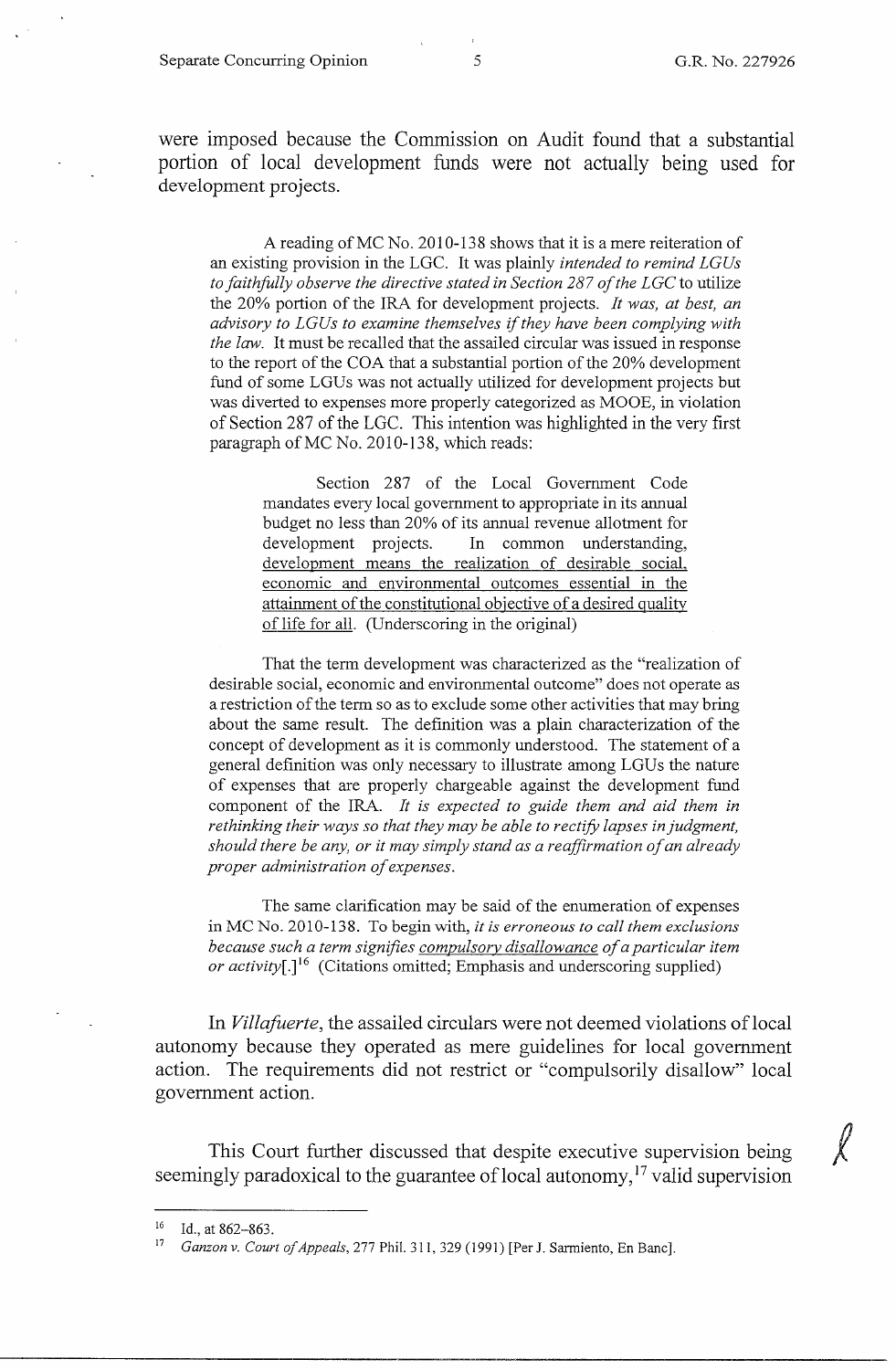Separate Concurring Opinion 5 5 G.R. No. 227926

were imposed because the Commission on Audit found that a substantial portion of local development funds were not actually being used for development projects.

A reading of MC No. 2010-138 shows that it is a mere reiteration of an existing provision in the LGC. It was plainly *intended to remind LGUs to faithfully observe the directive stated in Section 287 of the LGC* to utilize the 20% portion of the IRA for development projects. *It was, at best, an advisory to LG Us to examine themselves* if *they have been complying with the law.* It must be recalled that the assailed circular was issued in response to the report of the COA that a substantial portion of the 20% development fund of some LGUs was not actually utilized for development projects but was diverted to expenses more properly categorized as MOOE, in violation of Section 287 of the LGC. This intention was highlighted in the very first paragraph of MC No. 2010-138, which reads:

Section 287 of the Local Government Code mandates every local government to appropriate in its annual budget no less than 20% of its annual revenue allotment for development projects. In common understanding, development means the realization of desirable social, economic and environmental outcomes essential in the attainment of the constitutional objective of a desired quality of life for all. (Underscoring in the original)

That the term development was characterized as the "realization of desirable social, economic and environmental outcome" does not operate as a restriction of the term so as to exclude some other activities that may bring about the same result. The definition was a plain characterization of the concept of development as it is commonly understood. The statement of a general definition was only necessary to illustrate among LGUs the nature of expenses that are properly chargeable against the development fund component of the IRA. *It is expected to guide them and aid them in rethinking their ways so that they may be able to rectify lapses in judgment, should there be any, or it may simply stand as a reaffirmation of an already proper administration of expenses.* 

The same clarification may be said of the enumeration of expenses in MC No. 2010-138. To begin with, *it is erroneous to call them exclusions because such a term signifies compulsory disallowance of a particular item or activity*[.]<sup>16</sup> (Citations omitted; Emphasis and underscoring supplied)

In *Villafuerte*, the assailed circulars were not deemed violations of local autonomy because they operated as mere guidelines for local government action. The requirements did not restrict or "compulsorily disallow" local government action.

This Court further discussed that despite executive supervision being seemingly paradoxical to the guarantee of local autonomy,  $17$  valid supervision

 $16$  Id., at 862-863.

Ganzon v. Court of Appeals, 277 Phil. 311, 329 (1991) [Per J. Sarmiento, En Banc].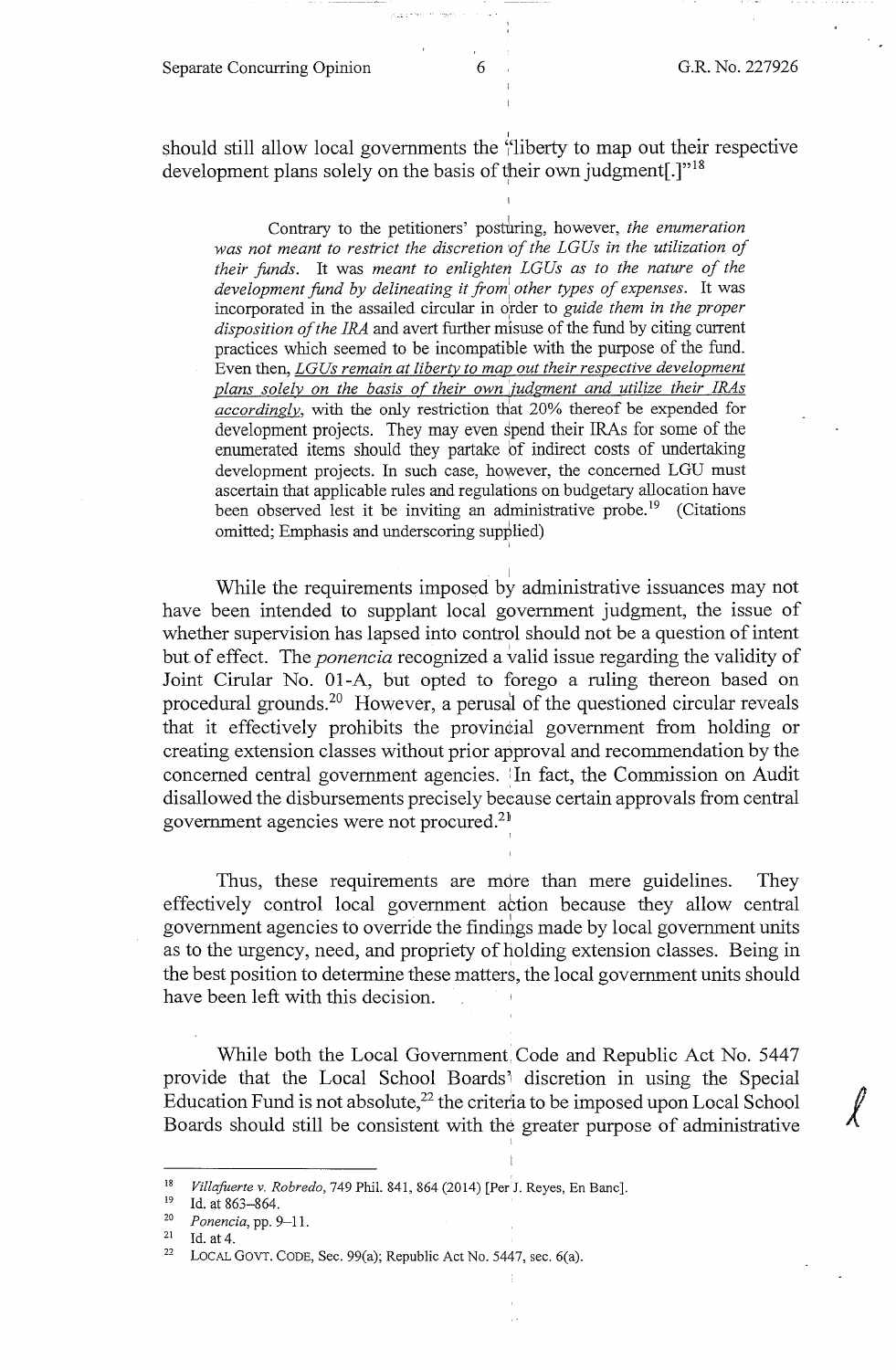should still allow local governments the  $\frac{1}{1}$ liberty to map out their respective development plans solely on the basis of their own judgment.]"<sup>18</sup>

Contrary to the petitioners' posturing, however, *the enumeration was not meant to restrict the discretion 1of the LG Us in the utilization of their funds.* It was *meant to enlighten LGUs as to the nature of the development fund by delineating it from other types of expenses.* It was incorporated in the assailed circular in order to *guide them in the proper disposition of the IRA* and avert further misuse of the fund by citing current practices which seemed to be incompatible with the purpose of the fund. Even then, *LGUs remain at liberty to map out their respective development plans solely on the basis of their own :iudgment and utilize their IRAs accordingly,* with the only restriction that 20% thereof be expended for development projects. They may even spend their IRAs for some of the enumerated items should they partake bf indirect costs of undertaking development projects. In such case, however, the concerned LGU must ascertain that applicable rules and regulations on budgetary allocation have been observed lest it be inviting an administrative probe.<sup>19</sup> (Citations omitted; Emphasis and underscoring supplied)

While the requirements imposed by administrative issuances may not have been intended to supplant local government judgment, the issue of whether supervision has lapsed into control should not be a question of intent but of effect. The *ponencia* recognized a valid issue regarding the validity of Joint Cirular No. 01-A, but opted to forego a ruling thereon based on procedural grounds.20 However, a perusal of the questioned circular reveals that it effectively prohibits the provincial government from holding or creating extension classes without prior approval and recommendation by the concerned central government agencies. : In fact, the Commission on Audit disallowed the disbursements precisely because certain approvals from central government agencies were not procured.21

Thus, these requirements are more than mere guidelines. They effectively control local government attion because they allow central government agencies to override the findings made by local government units as to the urgency, need, and propriety of holding extension classes. Being in the best position to determine these matters, the local government units should have been left with this decision.

!

While both the Local Government Code and Republic Act No. 5447 provide that the Local School Boards' discretion in using the Special Education Fund is not absolute,<sup>22</sup> the criteria to be imposed upon Local School  $\bigvee$ Boards should still be consistent with the greater purpose of administrative

I

<sup>18</sup> *Villafuerte v. Robredo,* 749 Phil. 841, 864 (2014) [Per<sup>1</sup>J. Reyes, En Banc].<br><sup>19</sup> Id. at 863–864

<sup>19</sup> Id. at 863–864.<br>
<sup>20</sup> *Ponencia*, pp. 9–11.<br>
<sup>21</sup> Id. at 4.<br>
<sup>22</sup> LOCAL GOVT. CODE, Sec. 99(a); Republic Act No. 5447, sec. 6(a).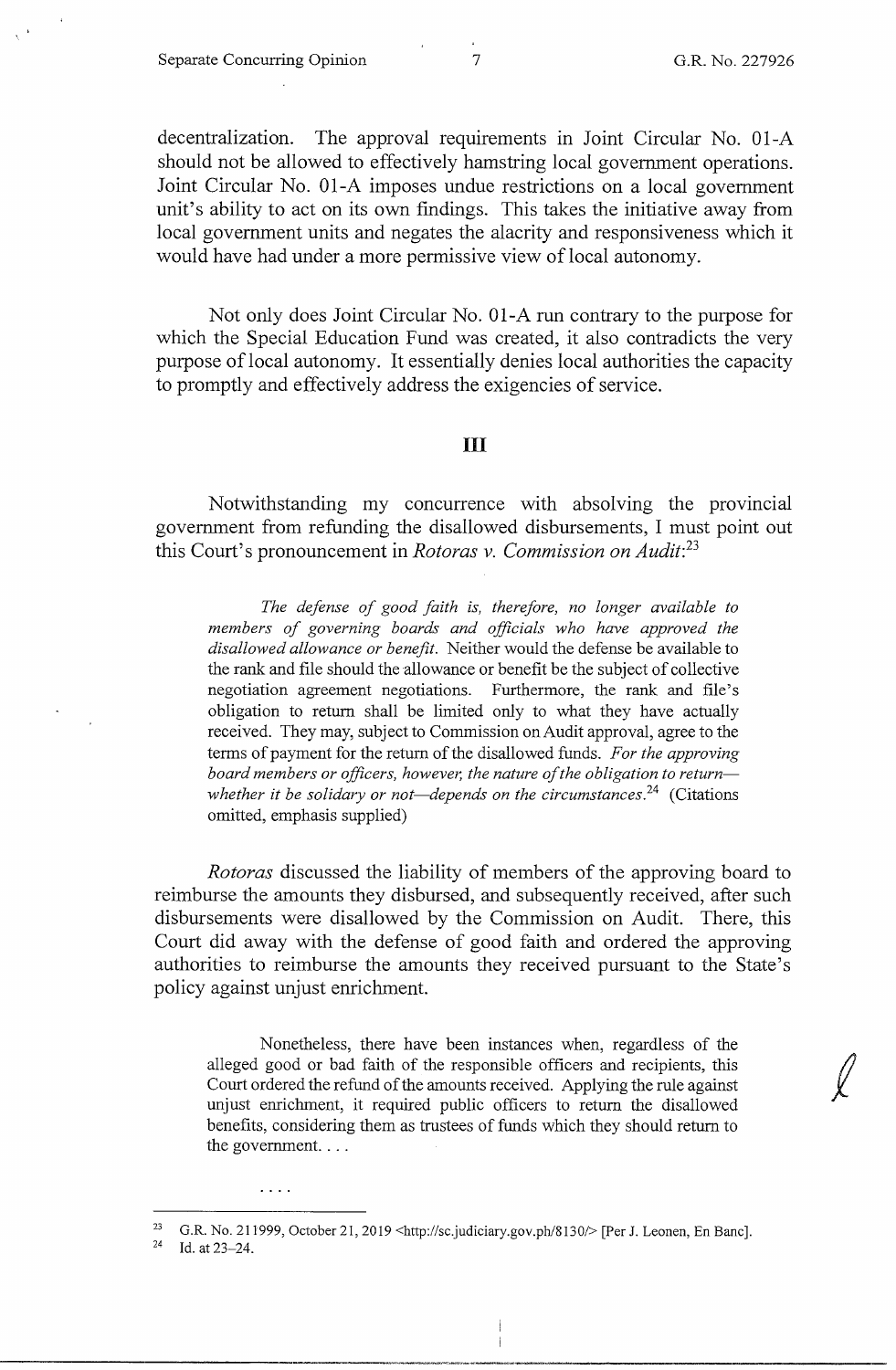decentralization. The approval requirements in Joint Circular No. 01-A should not be allowed to effectively hamstring local government operations. Joint Circular No. 01-A imposes undue restrictions on a local government unit's ability to act on its own findings. This takes the initiative away from local government units and negates the alacrity and responsiveness which it would have had under a more permissive view of local autonomy.

Not only does Joint Circular No. 01-A run contrary to the purpose for which the Special Education Fund was created, it also contradicts the very purpose oflocal autonomy. It essentially denies local authorities the capacity to promptly and effectively address the exigencies of service.

### III

Notwithstanding my concurrence with absolving the provincial government from refunding the disallowed disbursements, I must point out this Court's pronouncement in *Rotoras v. Commission on Audit:23* 

*The defense of good faith is, therefore, no longer available to members of governing boards and officials who have approved the disallowed allowance or benefit.* Neither would the defense be available to the rank and file should the allowance or benefit be the subject of collective negotiation agreement negotiations. Furthermore, the rank and file's obligation to return shall be limited only to what they have actually received. They may, subject to Commission on Audit approval, agree to the terms of payment for the return of the disallowed funds. *For the approving*  board members or officers, however, the nature of the obligation to return*whether it be solidary or not—depends on the circumstances.*<sup>24</sup> (Citations omitted, emphasis supplied)

*Rotoras* discussed the liability of members of the approving board to reimburse the amounts they disbursed, and subsequently received, after such disbursements were disallowed by the Commission on Audit. There, this Court did away with the defense of good faith and ordered the approving authorities to reimburse the amounts they received pursuant to the State's policy against unjust enrichment.

Nonetheless, there have been instances when, regardless of the alleged good or bad faith of the responsible officers and recipients, this Court ordered the refund of the amounts received. Applying the rule against unjust enrichment, it required public officers to return the disallowed benefits, considering them as trustees of funds which they should return to the government....

 $\cdots$ 

<sup>&</sup>lt;sup>23</sup> G.R. No. 211999, October 21, 2019 <http://sc.judiciary.gov.ph/8130/> [Per J. Leonen, En Banc].

Id. at 23-24.